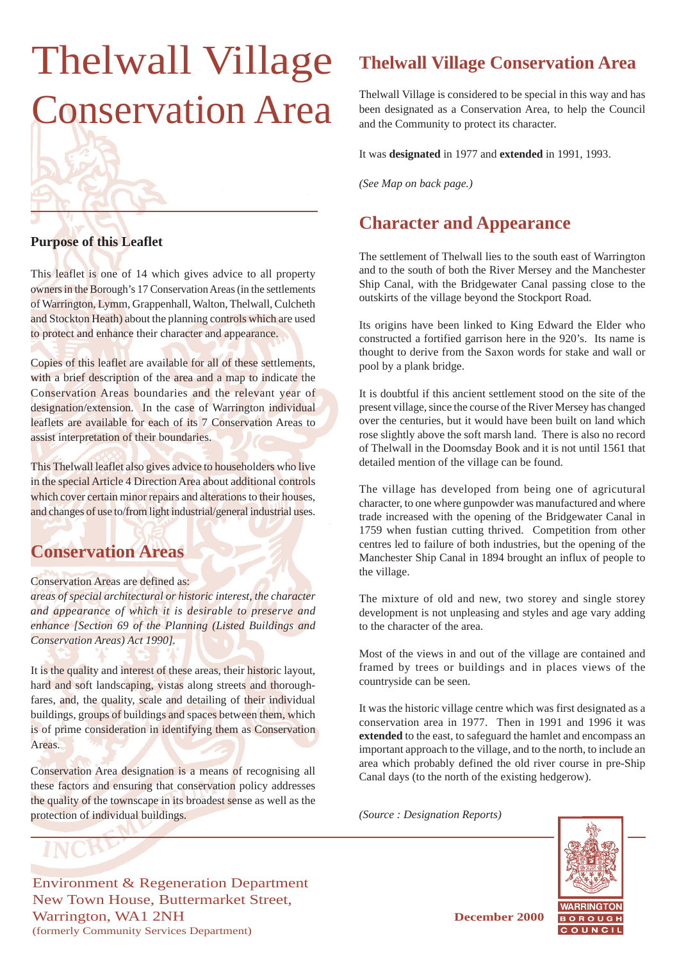# Thelwall Village Conservation Area

### **Purpose of this Leaflet**

This leaflet is one of 14 which gives advice to all property owners in the Borough's 17 Conservation Areas (in the settlements of Warrington, Lymm, Grappenhall, Walton, Thelwall, Culcheth and Stockton Heath) about the planning controls which are used to protect and enhance their character and appearance.

Copies of this leaflet are available for all of these settlements, with a brief description of the area and a map to indicate the Conservation Areas boundaries and the relevant year of designation/extension. In the case of Warrington individual leaflets are available for each of its 7 Conservation Areas to assist interpretation of their boundaries.

This Thelwall leaflet also gives advice to householders who live in the special Article 4 Direction Area about additional controls which cover certain minor repairs and alterations to their houses, and changes of use to/from light industrial/general industrial uses.

### **Conservation Areas**

### Conservation Areas are defined as:

*areas of special architectural or historic interest, the character and appearance of which it is desirable to preserve and enhance [Section 69 of the Planning (Listed Buildings and Conservation Areas) Act 1990].*

It is the quality and interest of these areas, their historic layout, hard and soft landscaping, vistas along streets and thoroughfares, and, the quality, scale and detailing of their individual buildings, groups of buildings and spaces between them, which is of prime consideration in identifying them as Conservation Areas.

Conservation Area designation is a means of recognising all these factors and ensuring that conservation policy addresses the quality of the townscape in its broadest sense as well as the protection of individual buildings.

## **Thelwall Village Conservation Area**

Thelwall Village is considered to be special in this way and has been designated as a Conservation Area, to help the Council and the Community to protect its character.

It was **designated** in 1977 and **extended** in 1991, 1993.

*(See Map on back page.)*

### **Character and Appearance**

The settlement of Thelwall lies to the south east of Warrington and to the south of both the River Mersey and the Manchester Ship Canal, with the Bridgewater Canal passing close to the outskirts of the village beyond the Stockport Road.

Its origins have been linked to King Edward the Elder who constructed a fortified garrison here in the 920's. Its name is thought to derive from the Saxon words for stake and wall or pool by a plank bridge.

It is doubtful if this ancient settlement stood on the site of the present village, since the course of the River Mersey has changed over the centuries, but it would have been built on land which rose slightly above the soft marsh land. There is also no record of Thelwall in the Doomsday Book and it is not until 1561 that detailed mention of the village can be found.

The village has developed from being one of agricutural character, to one where gunpowder was manufactured and where trade increased with the opening of the Bridgewater Canal in 1759 when fustian cutting thrived. Competition from other centres led to failure of both industries, but the opening of the Manchester Ship Canal in 1894 brought an influx of people to the village.

The mixture of old and new, two storey and single storey development is not unpleasing and styles and age vary adding to the character of the area.

Most of the views in and out of the village are contained and framed by trees or buildings and in places views of the countryside can be seen.

It was the historic village centre which was first designated as a conservation area in 1977. Then in 1991 and 1996 it was **extended** to the east, to safeguard the hamlet and encompass an important approach to the village, and to the north, to include an area which probably defined the old river course in pre-Ship Canal days (to the north of the existing hedgerow).

*(Source : Designation Reports)*



Environment & Regeneration Department New Town House, Buttermarket Street, Warrington, WA1 2NH **December 2000** (formerly Community Services Department)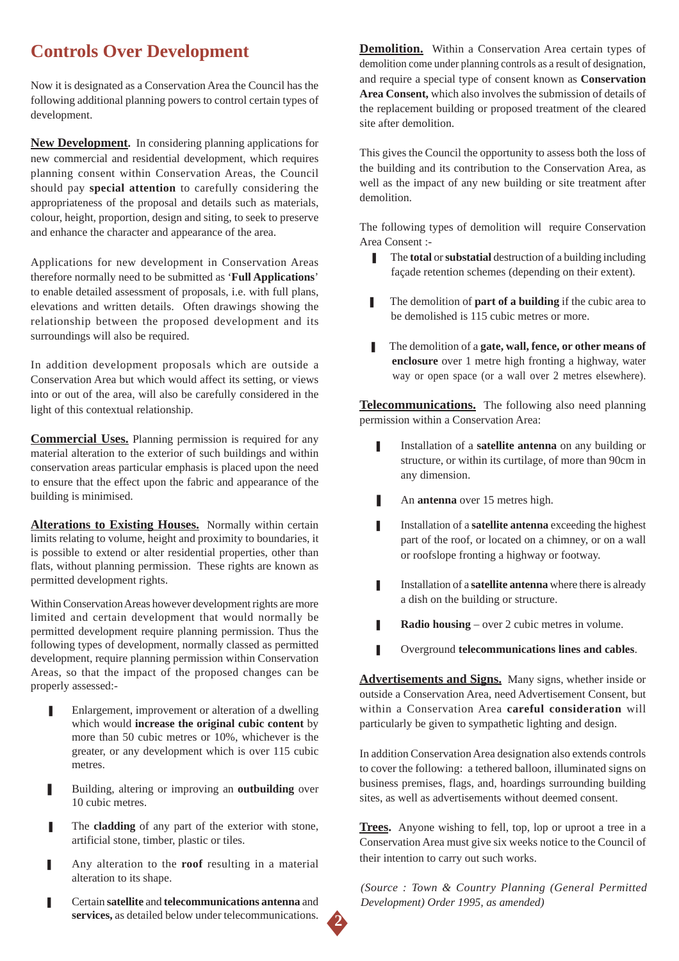# **Controls Over Development**

Now it is designated as a Conservation Area the Council has the following additional planning powers to control certain types of development.

**New Development.** In considering planning applications for new commercial and residential development, which requires planning consent within Conservation Areas, the Council should pay **special attention** to carefully considering the appropriateness of the proposal and details such as materials, colour, height, proportion, design and siting, to seek to preserve and enhance the character and appearance of the area.

Applications for new development in Conservation Areas therefore normally need to be submitted as '**Full Applications**' to enable detailed assessment of proposals, i.e. with full plans, elevations and written details. Often drawings showing the relationship between the proposed development and its surroundings will also be required.

In addition development proposals which are outside a Conservation Area but which would affect its setting, or views into or out of the area, will also be carefully considered in the light of this contextual relationship.

**Commercial Uses.** Planning permission is required for any material alteration to the exterior of such buildings and within conservation areas particular emphasis is placed upon the need to ensure that the effect upon the fabric and appearance of the building is minimised.

**Alterations to Existing Houses.** Normally within certain limits relating to volume, height and proximity to boundaries, it is possible to extend or alter residential properties, other than flats, without planning permission. These rights are known as permitted development rights.

Within Conservation Areas however development rights are more limited and certain development that would normally be permitted development require planning permission. Thus the following types of development, normally classed as permitted development, require planning permission within Conservation Areas, so that the impact of the proposed changes can be properly assessed:-

- Enlargement, improvement or alteration of a dwelling which would **increase the original cubic content** by more than 50 cubic metres or 10%, whichever is the greater, or any development which is over 115 cubic metres.
- Building, altering or improving an **outbuilding** over 10 cubic metres.
- The **cladding** of any part of the exterior with stone, artificial stone, timber, plastic or tiles.
- Any alteration to the **roof** resulting in a material alteration to its shape.
- ❚ Certain **satellite** and **telecommunications antenna** and **services,** as detailed below under telecommunications.

**Demolition.** Within a Conservation Area certain types of demolition come under planning controls as a result of designation, and require a special type of consent known as **Conservation Area Consent,** which also involves the submission of details of the replacement building or proposed treatment of the cleared site after demolition.

This gives the Council the opportunity to assess both the loss of the building and its contribution to the Conservation Area, as well as the impact of any new building or site treatment after demolition.

The following types of demolition will require Conservation Area Consent :-

- ❚ The **total** or **substatial** destruction of a building including façade retention schemes (depending on their extent).
- The demolition of **part of a building** if the cubic area to be demolished is 115 cubic metres or more.
- The demolition of a **gate, wall, fence, or other means of enclosure** over 1 metre high fronting a highway, water way or open space (or a wall over 2 metres elsewhere).

**Telecommunications.** The following also need planning permission within a Conservation Area:

- **I** Installation of a **satellite antenna** on any building or structure, or within its curtilage, of more than 90cm in any dimension.
- An **antenna** over 15 metres high.
- **I** Installation of a **satellite antenna** exceeding the highest part of the roof, or located on a chimney, or on a wall or roofslope fronting a highway or footway.
- **■** Installation of a **satellite antenna** where there is already a dish on the building or structure.
- **Radio housing** over 2 cubic metres in volume.
- ❚ Overground **telecommunications lines and cables**.

**Advertisements and Signs.** Many signs, whether inside or outside a Conservation Area, need Advertisement Consent, but within a Conservation Area **careful consideration** will particularly be given to sympathetic lighting and design.

In addition Conservation Area designation also extends controls to cover the following: a tethered balloon, illuminated signs on business premises, flags, and, hoardings surrounding building sites, as well as advertisements without deemed consent.

**Trees.** Anyone wishing to fell, top, lop or uproot a tree in a Conservation Area must give six weeks notice to the Council of their intention to carry out such works.

*(Source : Town & Country Planning (General Permitted Development) Order 1995, as amended)*

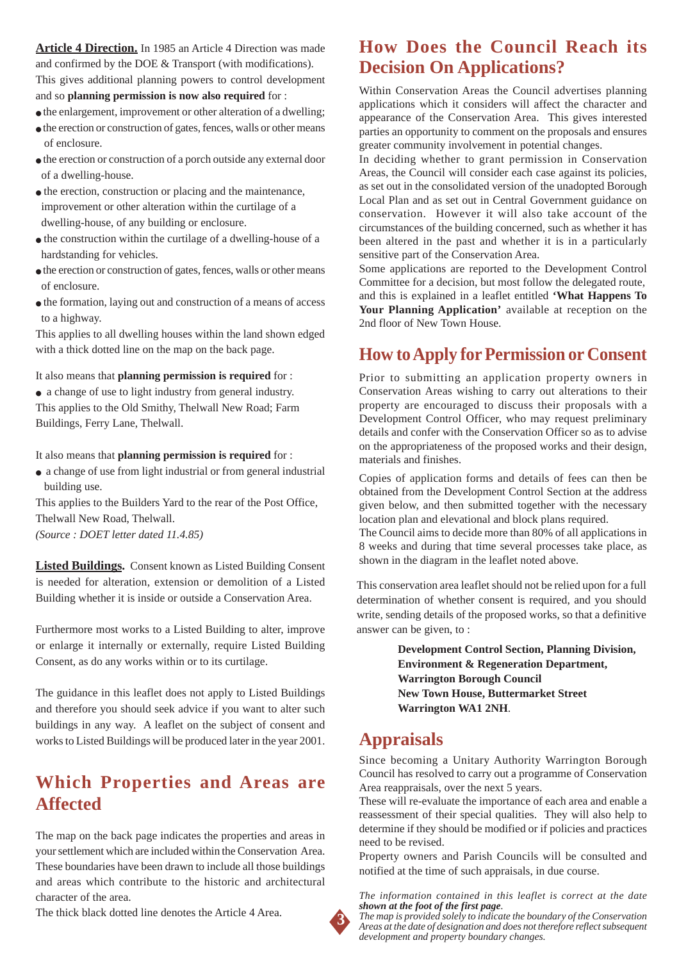**Article 4 Direction.** In 1985 an Article 4 Direction was made and confirmed by the DOE & Transport (with modifications). This gives additional planning powers to control development and so **planning permission is now also required** for :

- $\bullet$  the enlargement, improvement or other alteration of a dwelling;
- the erection or construction of gates, fences, walls or other means of enclosure.
- the erection or construction of a porch outside any external door of a dwelling-house.
- the erection, construction or placing and the maintenance, improvement or other alteration within the curtilage of a dwelling-house, of any building or enclosure.
- the construction within the curtilage of a dwelling-house of a hardstanding for vehicles.
- the erection or construction of gates, fences, walls or other means of enclosure.
- the formation, laying out and construction of a means of access to a highway.

This applies to all dwelling houses within the land shown edged with a thick dotted line on the map on the back page.

It also means that **planning permission is required** for :

● a change of use to light industry from general industry. This applies to the Old Smithy, Thelwall New Road; Farm Buildings, Ferry Lane, Thelwall.

It also means that **planning permission is required** for :

● a change of use from light industrial or from general industrial building use.

This applies to the Builders Yard to the rear of the Post Office, Thelwall New Road, Thelwall.

*(Source : DOET letter dated 11.4.85)*

**Listed Buildings.** Consent known as Listed Building Consent is needed for alteration, extension or demolition of a Listed Building whether it is inside or outside a Conservation Area.

Furthermore most works to a Listed Building to alter, improve or enlarge it internally or externally, require Listed Building Consent, as do any works within or to its curtilage.

The guidance in this leaflet does not apply to Listed Buildings and therefore you should seek advice if you want to alter such buildings in any way. A leaflet on the subject of consent and works to Listed Buildings will be produced later in the year 2001.

### **Which Properties and Areas are Affected**

The map on the back page indicates the properties and areas in your settlement which are included within the Conservation Area. These boundaries have been drawn to include all those buildings and areas which contribute to the historic and architectural character of the area.

The thick black dotted line denotes the Article 4 Area.

### **How Does the Council Reach its Decision On Applications?**

Within Conservation Areas the Council advertises planning applications which it considers will affect the character and appearance of the Conservation Area. This gives interested parties an opportunity to comment on the proposals and ensures greater community involvement in potential changes.

In deciding whether to grant permission in Conservation Areas, the Council will consider each case against its policies, as set out in the consolidated version of the unadopted Borough Local Plan and as set out in Central Government guidance on conservation. However it will also take account of the circumstances of the building concerned, such as whether it has been altered in the past and whether it is in a particularly sensitive part of the Conservation Area.

Some applications are reported to the Development Control Committee for a decision, but most follow the delegated route, and this is explained in a leaflet entitled **'What Happens To Your Planning Application'** available at reception on the 2nd floor of New Town House.

### **How to Apply for Permission or Consent**

Prior to submitting an application property owners in Conservation Areas wishing to carry out alterations to their property are encouraged to discuss their proposals with a Development Control Officer, who may request preliminary details and confer with the Conservation Officer so as to advise on the appropriateness of the proposed works and their design, materials and finishes.

Copies of application forms and details of fees can then be obtained from the Development Control Section at the address given below, and then submitted together with the necessary location plan and elevational and block plans required.

The Council aims to decide more than 80% of all applications in 8 weeks and during that time several processes take place, as shown in the diagram in the leaflet noted above.

This conservation area leaflet should not be relied upon for a full determination of whether consent is required, and you should write, sending details of the proposed works, so that a definitive answer can be given, to :

> **Development Control Section, Planning Division, Environment & Regeneration Department, Warrington Borough Council New Town House, Buttermarket Street Warrington WA1 2NH**.

### **Appraisals**

Since becoming a Unitary Authority Warrington Borough Council has resolved to carry out a programme of Conservation Area reappraisals, over the next 5 years.

These will re-evaluate the importance of each area and enable a reassessment of their special qualities. They will also help to determine if they should be modified or if policies and practices need to be revised.

Property owners and Parish Councils will be consulted and notified at the time of such appraisals, in due course.

*The information contained in this leaflet is correct at the date shown at the foot of the first page.*



*The map is provided solely to indicate the boundary of the Conservation Areas at the date of designation and does not therefore reflect subsequent development and property boundary changes.*